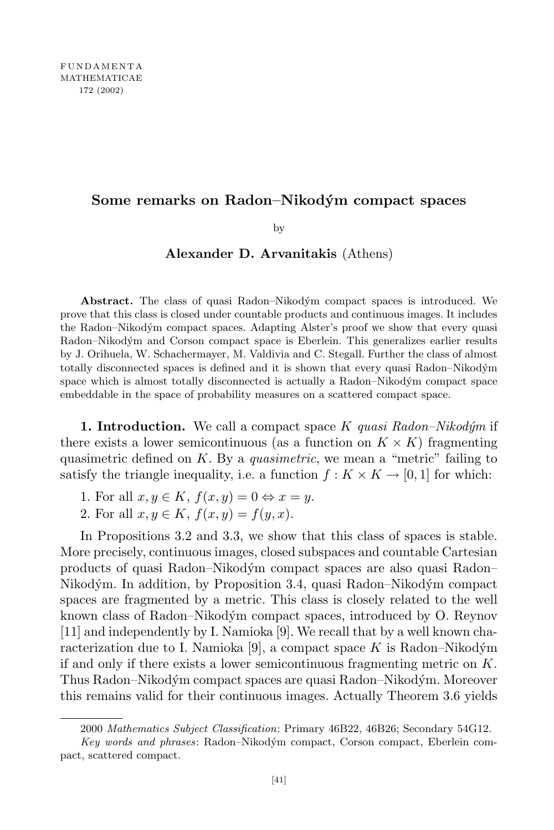# **Some remarks on Radon–Nikodym´ compact spaces**

by

## **Alexander D. Arvanitakis** (Athens)

Abstract. The class of quasi Radon–Nikodým compact spaces is introduced. We prove that this class is closed under countable products and continuous images. It includes the Radon–Nikodým compact spaces. Adapting Alster's proof we show that every quasi Radon–Nikodým and Corson compact space is Eberlein. This generalizes earlier results by J. Orihuela, W. Schachermayer, M. Valdivia and C. Stegall. Further the class of almost totally disconnected spaces is defined and it is shown that every quasi Radon–Nikodym´ space which is almost totally disconnected is actually a Radon–Nikodym compact space embeddable in the space of probability measures on a scattered compact space.

**1. Introduction.** We call a compact space *K quasi Radon–Nikod´ym* if there exists a lower semicontinuous (as a function on  $K \times K$ ) fragmenting quasimetric defined on *K*. By a *quasimetric*, we mean a "metric" failing to satisfy the triangle inequality, i.e. a function  $f: K \times K \rightarrow [0, 1]$  for which:

- 1. For all  $x, y \in K$ ,  $f(x, y) = 0 \Leftrightarrow x = y$ .
- 2. For all  $x, y \in K$ ,  $f(x, y) = f(y, x)$ .

In Propositions 3.2 and 3.3, we show that this class of spaces is stable. More precisely, continuous images, closed subspaces and countable Cartesian products of quasi Radon–Nikodym´ compact spaces are also quasi Radon– Nikodým. In addition, by Proposition 3.4, quasi Radon–Nikodým compact spaces are fragmented by a metric. This class is closely related to the well known class of Radon–Nikodým compact spaces, introduced by O. Reynov [11] and independently by I. Namioka [9]. We recall that by a well known characterization due to I. Namioka [9], a compact space  $K$  is Radon–Nikodým if and only if there exists a lower semicontinuous fragmenting metric on *K*. Thus Radon–Nikodým compact spaces are quasi Radon–Nikodým. Moreover this remains valid for their continuous images. Actually Theorem 3.6 yields

<sup>2000</sup> *Mathematics Subject Classification*: Primary 46B22, 46B26; Secondary 54G12.

*Key words and phrases*: Radon–Nikodym´ compact, Corson compact, Eberlein compact, scattered compact.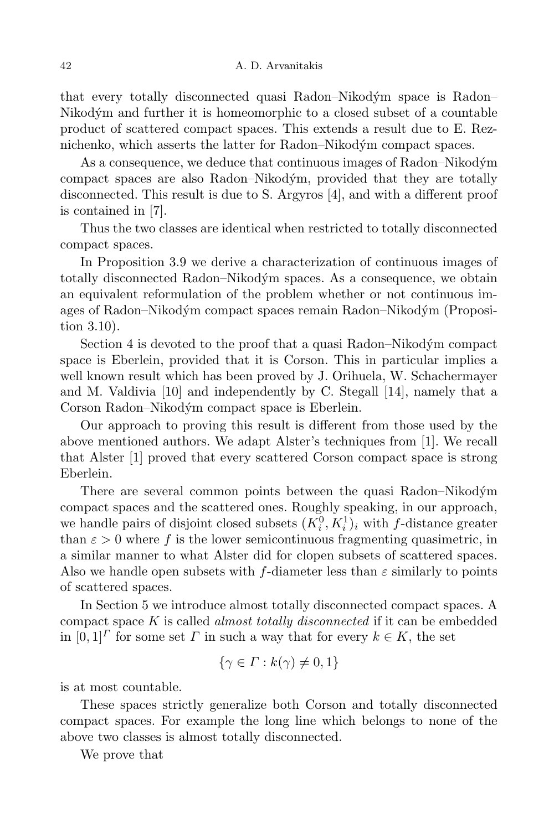that every totally disconnected quasi Radon–Nikodym´ space is Radon– Nikodým and further it is homeomorphic to a closed subset of a countable product of scattered compact spaces. This extends a result due to E. Reznichenko, which asserts the latter for Radon–Nikodým compact spaces.

As a consequence, we deduce that continuous images of Radon–Nikodým compact spaces are also Radon–Nikodým, provided that they are totally disconnected. This result is due to S. Argyros [4], and with a different proof is contained in [7].

Thus the two classes are identical when restricted to totally disconnected compact spaces.

In Proposition 3.9 we derive a characterization of continuous images of totally disconnected Radon–Nikodým spaces. As a consequence, we obtain an equivalent reformulation of the problem whether or not continuous images of Radon–Nikodym´ compact spaces remain Radon–Nikodym´ (Proposition 3.10).

Section 4 is devoted to the proof that a quasi Radon–Nikodým compact space is Eberlein, provided that it is Corson. This in particular implies a well known result which has been proved by J. Orihuela, W. Schachermayer and M. Valdivia [10] and independently by C. Stegall [14], namely that a Corson Radon–Nikodým compact space is Eberlein.

Our approach to proving this result is different from those used by the above mentioned authors. We adapt Alster's techniques from [1]. We recall that Alster [1] proved that every scattered Corson compact space is strong Eberlein.

There are several common points between the quasi Radon–Nikodym´ compact spaces and the scattered ones. Roughly speaking, in our approach, we handle pairs of disjoint closed subsets  $(K_i^0, K_i^1)_i$  with *f*-distance greater than  $\varepsilon > 0$  where f is the lower semicontinuous fragmenting quasimetric, in a similar manner to what Alster did for clopen subsets of scattered spaces. Also we handle open subsets with  $f$ -diameter less than  $\varepsilon$  similarly to points of scattered spaces.

In Section 5 we introduce almost totally disconnected compact spaces. A compact space *K* is called *almost totally disconnected* if it can be embedded in  $[0,1]$ <sup> $\Gamma$ </sup> for some set  $\Gamma$  in such a way that for every  $k \in K$ , the set

$$
\{\gamma \in \Gamma : k(\gamma) \neq 0, 1\}
$$

is at most countable.

These spaces strictly generalize both Corson and totally disconnected compact spaces. For example the long line which belongs to none of the above two classes is almost totally disconnected.

We prove that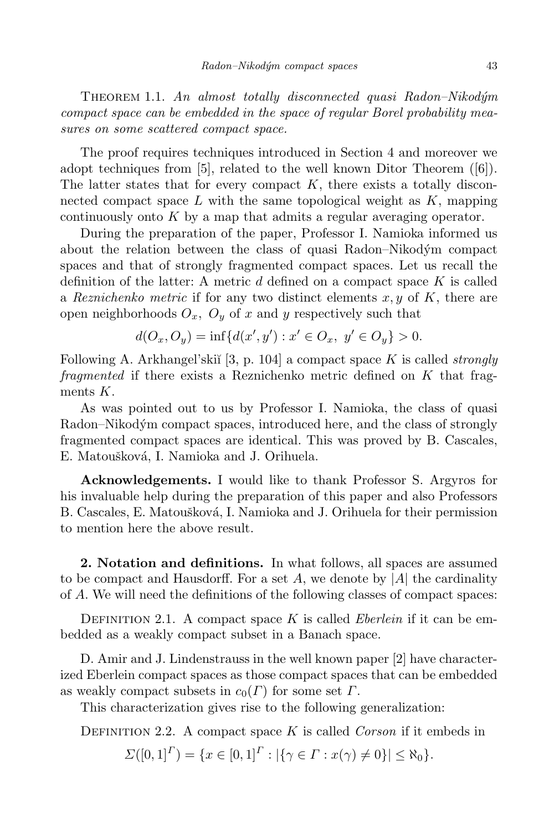Theorem 1.1. *An almost totally disconnected quasi Radon–Nikod´ym compact space can be embedded in the space of regular Borel probability measures on some scattered compact space.*

The proof requires techniques introduced in Section 4 and moreover we adopt techniques from [5], related to the well known Ditor Theorem ([6]). The latter states that for every compact  $K$ , there exists a totally disconnected compact space *L* with the same topological weight as *K*, mapping continuously onto *K* by a map that admits a regular averaging operator.

During the preparation of the paper, Professor I. Namioka informed us about the relation between the class of quasi Radon–Nikodým compact spaces and that of strongly fragmented compact spaces. Let us recall the definition of the latter: A metric *d* defined on a compact space *K* is called a *Reznichenko metric* if for any two distinct elements  $x, y$  of  $K$ , there are open neighborhoods  $O_x$ ,  $O_y$  of x and y respectively such that

$$
d(O_x, O_y) = \inf \{ d(x', y') : x' \in O_x, \ y' \in O_y \} > 0.
$$

Following A. Arkhangel'ski˘ı [3, p. 104] a compact space *K* is called *strongly fragmented* if there exists a Reznichenko metric defined on *K* that fragments *K*.

As was pointed out to us by Professor I. Namioka, the class of quasi Radon–Nikodým compact spaces, introduced here, and the class of strongly fragmented compact spaces are identical. This was proved by B. Cascales, E. Matoušková, I. Namioka and J. Orihuela.

**Acknowledgements.** I would like to thank Professor S. Argyros for his invaluable help during the preparation of this paper and also Professors B. Cascales, E. Matoušková, I. Namioka and J. Orihuela for their permission to mention here the above result.

**2. Notation and definitions.** In what follows, all spaces are assumed to be compact and Hausdorff. For a set  $A$ , we denote by  $|A|$  the cardinality of *A*. We will need the definitions of the following classes of compact spaces:

DEFINITION 2.1. A compact space  $K$  is called *Eberlein* if it can be embedded as a weakly compact subset in a Banach space.

D. Amir and J. Lindenstrauss in the well known paper [2] have characterized Eberlein compact spaces as those compact spaces that can be embedded as weakly compact subsets in  $c_0(\Gamma)$  for some set  $\Gamma$ .

This characterization gives rise to the following generalization:

DEFINITION 2.2. A compact space *K* is called *Corson* if it embeds in

 $\Sigma([0,1]^{\Gamma}) = \{x \in [0,1]^{\Gamma} : |\{\gamma \in \Gamma : x(\gamma) \neq 0\}| \leq \aleph_0\}.$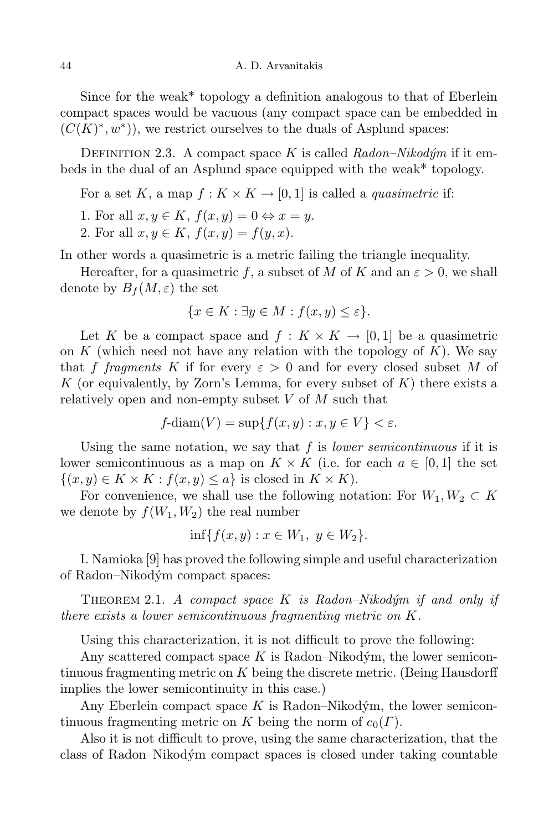Since for the weak\* topology a definition analogous to that of Eberlein compact spaces would be vacuous (any compact space can be embedded in  $(C(K)^*, w^*)$ , we restrict ourselves to the duals of Asplund spaces:

DEFINITION 2.3. A compact space  $K$  is called  $Radon-Nikodym$  if it embeds in the dual of an Asplund space equipped with the weak\* topology.

For a set *K*, a map  $f: K \times K \to [0, 1]$  is called a *quasimetric* if:

1. For all  $x, y \in K$ ,  $f(x, y) = 0 \Leftrightarrow x = y$ .

2*.* For all  $x, y \in K$ ,  $f(x, y) = f(y, x)$ .

In other words a quasimetric is a metric failing the triangle inequality.

Hereafter, for a quasimetric f, a subset of M of K and an  $\varepsilon > 0$ , we shall denote by  $B_f(M,\varepsilon)$  the set

$$
\{x \in K : \exists y \in M : f(x, y) \le \varepsilon\}.
$$

Let *K* be a compact space and  $f: K \times K \to [0,1]$  be a quasimetric on  $K$  (which need not have any relation with the topology of  $K$ ). We say that *f fragments K* if for every  $\varepsilon > 0$  and for every closed subset *M* of *K* (or equivalently, by Zorn's Lemma, for every subset of *K*) there exists a relatively open and non-empty subset *V* of *M* such that

$$
f\text{-diam}(V) = \sup\{f(x, y) : x, y \in V\} < \varepsilon.
$$

Using the same notation, we say that *f* is *lower semicontinuous* if it is lower semicontinuous as a map on  $K \times K$  (i.e. for each  $a \in [0,1]$  the set  $\{(x, y) \in K \times K : f(x, y) \leq a\}$  is closed in  $K \times K$ ).

For convenience, we shall use the following notation: For  $W_1, W_2 \subset K$ we denote by  $f(W_1, W_2)$  the real number

$$
\inf\{f(x,y) : x \in W_1, \ y \in W_2\}.
$$

I. Namioka [9] has proved the following simple and useful characterization of Radon–Nikodym´ compact spaces:

Theorem 2.1. *A compact space K is Radon–Nikod´ym if and only if there exists a lower semicontinuous fragmenting metric on K.*

Using this characterization, it is not difficult to prove the following:

Any scattered compact space  $K$  is Radon–Nikodym, the lower semicontinuous fragmenting metric on *K* being the discrete metric. (Being Hausdorff implies the lower semicontinuity in this case.)

Any Eberlein compact space  $K$  is Radon–Nikodým, the lower semicontinuous fragmenting metric on *K* being the norm of  $c_0(\Gamma)$ .

Also it is not difficult to prove, using the same characterization, that the class of Radon–Nikodym´ compact spaces is closed under taking countable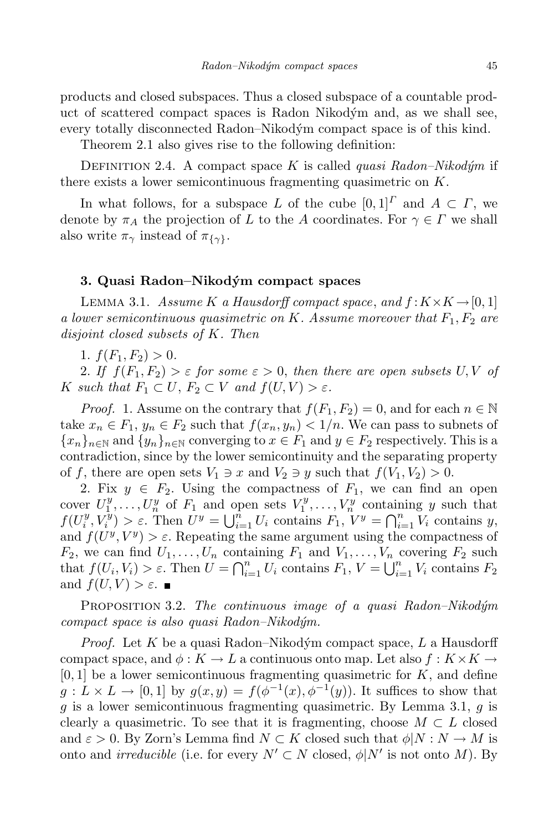products and closed subspaces. Thus a closed subspace of a countable product of scattered compact spaces is Radon Nikodym´ and, as we shall see, every totally disconnected Radon–Nikodým compact space is of this kind.

Theorem 2.1 also gives rise to the following definition:

DEFINITION 2.4. A compact space *K* is called *quasi*  $Radon-Nikodým$  if there exists a lower semicontinuous fragmenting quasimetric on *K*.

In what follows, for a subspace *L* of the cube  $[0,1]^T$  and  $A \subset \Gamma$ , we denote by  $\pi_A$  the projection of *L* to the *A* coordinates. For  $\gamma \in \Gamma$  we shall also write  $\pi_{\gamma}$  instead of  $\pi_{\{\gamma\}}$ .

## **3. Quasi Radon–Nikodym´ compact spaces**

LEMMA 3.1. *Assume K a Hausdorff compact space*, *and*  $f: K \times K \rightarrow [0, 1]$ *a lower semicontinuous quasimetric on K. Assume moreover that F*1*, F*<sup>2</sup> *are disjoint closed subsets of K. Then*

1*.*  $f(F_1, F_2) > 0$ .

2*.* If  $f(F_1, F_2) > \varepsilon$  for some  $\varepsilon > 0$ , then there are open subsets U, V of *K such that*  $F_1 \subset U$ ,  $F_2 \subset V$  *and*  $f(U, V) > \varepsilon$ *.* 

*Proof.* 1. Assume on the contrary that  $f(F_1, F_2) = 0$ , and for each  $n \in \mathbb{N}$ take  $x_n \in F_1$ ,  $y_n \in F_2$  such that  $f(x_n, y_n) < 1/n$ . We can pass to subnets of  ${x_n}_{n \in \mathbb{N}}$  and  ${y_n}_{n \in \mathbb{N}}$  converging to  $x \in F_1$  and  $y \in F_2$  respectively. This is a contradiction, since by the lower semicontinuity and the separating property of f, there are open sets  $V_1 \ni x$  and  $V_2 \ni y$  such that  $f(V_1, V_2) > 0$ .

2. Fix  $y \in F_2$ . Using the compactness of  $F_1$ , we can find an open cover  $U_1^y, \ldots, U_n^y$  of  $F_1$  and open sets  $V_1^y, \ldots, V_n^y$  containing y such that  $f(U_i^y)$  $\sum_i^y V_i^y$  $\hat{f}_i^y$  >  $\varepsilon$ . Then  $U^y = \bigcup_{i=1}^n U_i$  contains  $F_1, V^y = \bigcap_{i=1}^n V_i$  contains *y*, and  $f(U^y, V^y) > \varepsilon$ . Repeating the same argument using the compactness of  $F_2$ , we can find  $U_1, \ldots, U_n$  containing  $F_1$  and  $V_1, \ldots, V_n$  covering  $F_2$  such that  $f(U_i, V_i) > \varepsilon$ . Then  $U = \bigcap_{i=1}^n U_i$  contains  $F_1, V = \bigcup_{i=1}^n V_i$  contains  $F_2$ and  $f(U, V) > \varepsilon$ .

Proposition 3.2. *The continuous image of a quasi Radon–Nikod´ym compact space is also quasi Radon–Nikod´ym.*

*Proof.* Let *K* be a quasi Radon–Nikodým compact space, *L* a Hausdorff compact space, and  $\phi: K \to L$  a continuous onto map. Let also  $f: K \times K \to$ [0*,* 1] be a lower semicontinuous fragmenting quasimetric for *K*, and define  $g: L \times L \to [0, 1]$  by  $g(x, y) = f(\phi^{-1}(x), \phi^{-1}(y))$ . It suffices to show that *g* is a lower semicontinuous fragmenting quasimetric. By Lemma 3.1, *g* is clearly a quasimetric. To see that it is fragmenting, choose  $M \subset L$  closed and  $\varepsilon > 0$ . By Zorn's Lemma find  $N \subset K$  closed such that  $\phi|N : N \to M$  is onto and *irreducible* (i.e. for every  $N' \subset N$  closed,  $\phi|N'$  is not onto *M*). By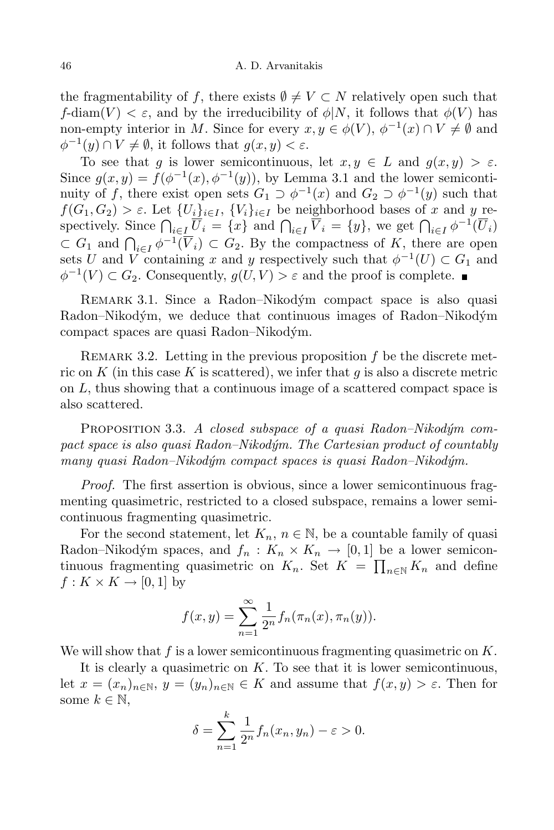the fragmentability of f, there exists  $\emptyset \neq V \subset N$  relatively open such that *f*-diam(*V*)  $\lt \varepsilon$ , and by the irreducibility of  $\phi|N$ , it follows that  $\phi(V)$  has non-empty interior in *M*. Since for every  $x, y \in \phi(V)$ ,  $\phi^{-1}(x) \cap V \neq \emptyset$  and  $\phi^{-1}(y) \cap V \neq \emptyset$ , it follows that  $g(x, y) < \varepsilon$ .

To see that *q* is lower semicontinuous, let  $x, y \in L$  and  $q(x, y) > \varepsilon$ . Since  $g(x, y) = f(\phi^{-1}(x), \phi^{-1}(y))$ , by Lemma 3.1 and the lower semicontinuity of *f*, there exist open sets  $G_1 \supset \phi^{-1}(x)$  and  $G_2 \supset \phi^{-1}(y)$  such that  $f(G_1, G_2) > \varepsilon$ . Let  $\{U_i\}_{i \in I}$ ,  $\{V_i\}_{i \in I}$  be neighborhood bases of x and y respectively. Since  $\bigcap_{i\in I} \overline{U}_i = \{x\}$  and  $\bigcap_{i\in I} \overline{V}_i = \{y\}$ , we get  $\bigcap_{i\in I} \phi^{-1}(\overline{U}_i)$  $\subset G_1$  and  $\bigcap_{i\in I} \phi^{-1}(\overline{V}_i) \subset G_2$ . By the compactness of *K*, there are open  $\overline{C}$  *i*<sup>*I*</sup> and *V* containing *x* and *y* respectively such that  $\phi^{-1}(U) \subset G_1$  and  $\phi$ <sup>-1</sup>(*V*) ⊂ *G*<sub>2</sub>. Consequently, *g*(*U, V*) >  $\varepsilon$  and the proof is complete.

REMARK 3.1. Since a Radon–Nikodým compact space is also quasi Radon–Nikodým, we deduce that continuous images of Radon–Nikodým compact spaces are quasi Radon–Nikodym. ´

Remark 3.2. Letting in the previous proposition *f* be the discrete metric on *K* (in this case *K* is scattered), we infer that *g* is also a discrete metric on *L*, thus showing that a continuous image of a scattered compact space is also scattered.

PROPOSITION 3.3. A closed subspace of a quasi Radon–Nikodym com*pact space is also quasi Radon–Nikod´ym. The Cartesian product of countably many quasi Radon–Nikod´ym compact spaces is quasi Radon–Nikod´ym.*

*Proof.* The first assertion is obvious, since a lower semicontinuous fragmenting quasimetric, restricted to a closed subspace, remains a lower semicontinuous fragmenting quasimetric.

For the second statement, let  $K_n$ ,  $n \in \mathbb{N}$ , be a countable family of quasi Radon–Nikodým spaces, and  $f_n : K_n \times K_n \to [0,1]$  be a lower semicontinuous fragmenting quasimetric on  $K_n$ . Set  $K = \prod_{n \in \mathbb{N}} K_n$  and define  $f: K \times K \rightarrow [0, 1]$  by

$$
f(x,y) = \sum_{n=1}^{\infty} \frac{1}{2^n} f_n(\pi_n(x), \pi_n(y)).
$$

We will show that *f* is a lower semicontinuous fragmenting quasimetric on *K*.

It is clearly a quasimetric on *K*. To see that it is lower semicontinuous, let  $x = (x_n)_{n \in \mathbb{N}}, y = (y_n)_{n \in \mathbb{N}} \in K$  and assume that  $f(x, y) > \varepsilon$ . Then for some  $k \in \mathbb{N}$ ,

$$
\delta = \sum_{n=1}^{k} \frac{1}{2^n} f_n(x_n, y_n) - \varepsilon > 0.
$$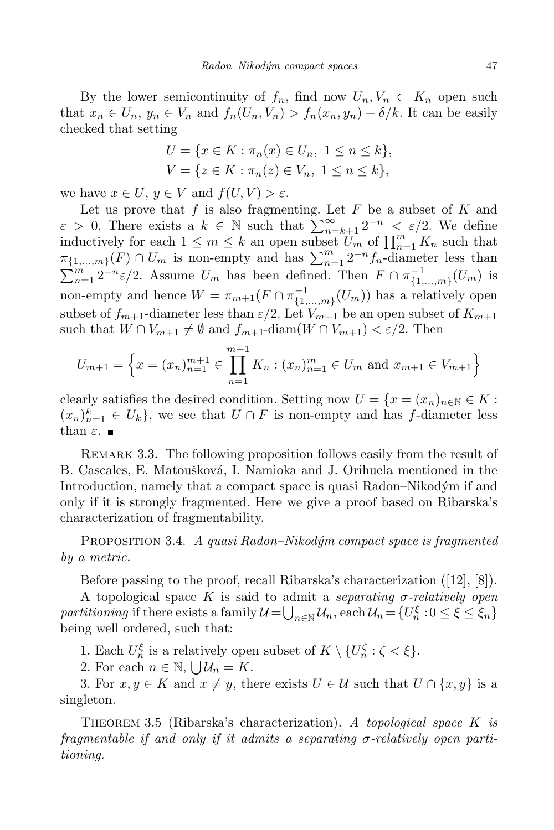By the lower semicontinuity of  $f_n$ , find now  $U_n, V_n \subset K_n$  open such that  $x_n \in U_n$ ,  $y_n \in V_n$  and  $f_n(U_n, V_n) > f_n(x_n, y_n) - \delta/k$ . It can be easily checked that setting

$$
U = \{x \in K : \pi_n(x) \in U_n, \ 1 \le n \le k\},\
$$
  

$$
V = \{z \in K : \pi_n(z) \in V_n, \ 1 \le n \le k\},\
$$

we have  $x \in U$ ,  $y \in V$  and  $f(U, V) > \varepsilon$ .

Let us prove that  $f$  is also fragmenting. Let  $F$  be a subset of  $K$  and  $\varepsilon > 0$ . There exists a  $k \in \mathbb{N}$  such that  $\sum_{n=k+1}^{\infty} 2^{-n} \leq \varepsilon/2$ . We define inductively for each  $1 \leq m \leq k$  an open subset  $U_m$  of  $\prod_{n=1}^m K_n$  such that  $\pi_{\{1,\ldots,m\}}(F) \cap U_m$  is non-empty and has  $\sum_{n=1}^m 2^{-n} f_n$ -diameter less than  $\sum_{n=1}^{m} 2^{-n} \varepsilon/2$ . Assume  $U_m$  has been defined. Then  $F \cap \pi_{\{1, \}}^{-1}$  $\binom{-1}{1,\ldots,m}$  (*U<sub>m</sub>*) is non-empty and hence  $W = \pi_{m+1}(F \cap \pi_{\{1, \}}^{-1})$  $\frac{(-1)}{\{1,\ldots,m\}}(U_m)$  has a relatively open subset of  $f_{m+1}$ -diameter less than  $\varepsilon/2$ . Let  $V_{m+1}$  be an open subset of  $K_{m+1}$ such that  $W \cap V_{m+1} \neq \emptyset$  and  $f_{m+1}$ -diam $(W \cap V_{m+1}) < \varepsilon/2$ . Then

$$
U_{m+1} = \left\{ x = (x_n)_{n=1}^{m+1} \in \prod_{n=1}^{m+1} K_n : (x_n)_{n=1}^m \in U_m \text{ and } x_{m+1} \in V_{m+1} \right\}
$$

clearly satisfies the desired condition. Setting now  $U = \{x = (x_n)_{n \in \mathbb{N}} \in K :$  $(x_n)_{n=1}^k \in U_k$ , we see that  $U \cap F$  is non-empty and has *f*-diameter less than  $\varepsilon$ .

REMARK 3.3. The following proposition follows easily from the result of B. Cascales, E. Matoušková, I. Namioka and J. Orihuela mentioned in the Introduction, namely that a compact space is quasi Radon–Nikodym´ if and only if it is strongly fragmented. Here we give a proof based on Ribarska's characterization of fragmentability.

Proposition 3.4. *A quasi Radon–Nikod´ym compact space is fragmented by a metric.*

Before passing to the proof, recall Ribarska's characterization ([12], [8]).

A topological space K is said to admit a *separating*  $\sigma$ -relatively *open*  $partitioning$  if there exists a family  $\mathcal{U} = \bigcup_{n \in \mathbb{N}} \mathcal{U}_n$ , each  $\mathcal{U}_n = \{U_n^{\xi} : 0 \leq \xi \leq \xi_n\}$ being well ordered, such that:

1. Each  $U_n^{\xi}$  is a relatively open subset of  $K \setminus \{U_n^{\zeta} : \zeta < \xi\}.$ 

2. For each  $n \in \mathbb{N}$ ,  $\bigcup \mathcal{U}_n = K$ .

3. For  $x, y \in K$  and  $x \neq y$ , there exists  $U \in \mathcal{U}$  such that  $U \cap \{x, y\}$  is a singleton.

Theorem 3.5 (Ribarska's characterization). *A topological space K is fragmentable if* and only *if it admits* a *separating*  $\sigma$ -relatively open parti*tioning.*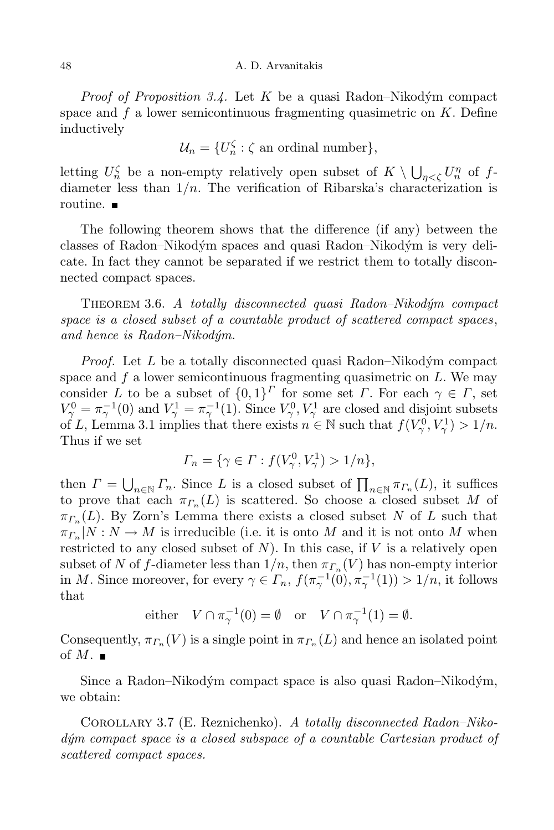#### 48 A. D. Arvanitakis

*Proof of Proposition* 3.4. Let *K* be a quasi Radon–Nikodým compact space and *f* a lower semicontinuous fragmenting quasimetric on *K*. Define inductively

$$
\mathcal{U}_n = \{U_n^{\zeta} : \zeta \text{ an ordinal number}\},\
$$

letting  $U_n^{\zeta}$  be a non-empty relatively open subset of  $K \setminus \bigcup_{\eta < \zeta} U_n^{\eta}$  of  $f$ diameter less than  $1/n$ . The verification of Ribarska's characterization is routine. ■

The following theorem shows that the difference (if any) between the classes of Radon–Nikodým spaces and quasi Radon–Nikodým is very delicate. In fact they cannot be separated if we restrict them to totally disconnected compact spaces.

Theorem 3.6. *A totally disconnected quasi Radon–Nikod´ym compact space is a closed subset of a countable product of scattered compact spaces*, *and hence is Radon–Nikod´ym.*

*Proof.* Let *L* be a totally disconnected quasi Radon–Nikodým compact space and *f* a lower semicontinuous fragmenting quasimetric on *L*. We may consider *L* to be a subset of  $\{0,1\}^{\Gamma}$  for some set *Γ*. For each  $\gamma \in \Gamma$ , set  $V^0_\gamma = \pi_\gamma^{-1}(0)$  and  $V^1_\gamma = \pi_\gamma^{-1}(1)$ . Since  $V^0_\gamma$ ,  $V^1_\gamma$  are closed and disjoint subsets of *L*, Lemma 3.1 implies that there exists  $n \in \mathbb{N}$  such that  $f(V_\gamma^0, V_\gamma^1) > 1/n$ . Thus if we set

$$
\Gamma_n = \{ \gamma \in \Gamma : f(V^0_\gamma, V^1_\gamma) > 1/n \},\
$$

then  $\Gamma = \bigcup_{n \in \mathbb{N}} \Gamma_n$ . Since *L* is a closed subset of  $\prod_{n \in \mathbb{N}} \pi_{\Gamma_n}(L)$ , it suffices to prove that each  $\pi_{\Gamma_n}(L)$  is scattered. So choose a closed subset *M* of *π<sup>Γ</sup><sup>n</sup>* (*L*). By Zorn's Lemma there exists a closed subset *N* of *L* such that  $\pi_{\Gamma_n}|N: N \to M$  is irreducible (i.e. it is onto *M* and it is not onto *M* when restricted to any closed subset of  $N$ ). In this case, if  $V$  is a relatively open subset of *N* of *f*-diameter less than  $1/n$ , then  $\pi_{\Gamma_n}(V)$  has non-empty interior in *M*. Since moreover, for every  $\gamma \in \Gamma_n$ ,  $f(\pi_\gamma^{-1}(0), \pi_\gamma^{-1}(1)) > 1/n$ , it follows that

either 
$$
V \cap \pi_{\gamma}^{-1}(0) = \emptyset
$$
 or  $V \cap \pi_{\gamma}^{-1}(1) = \emptyset$ .

Consequently,  $\pi_{\Gamma_n}(V)$  is a single point in  $\pi_{\Gamma_n}(L)$  and hence an isolated point of  $M$ .

Since a Radon–Nikodým compact space is also quasi Radon–Nikodým, we obtain:

Corollary 3.7 (E. Reznichenko). *A totally disconnected Radon–Nikod´ym compact space is a closed subspace of a countable Cartesian product of scattered compact spaces.*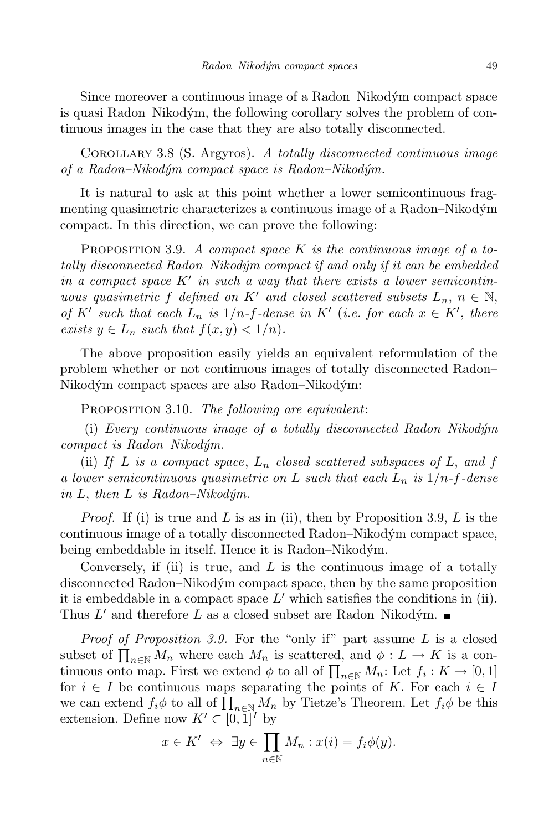Since moreover a continuous image of a Radon–Nikodym´ compact space is quasi Radon–Nikodým, the following corollary solves the problem of continuous images in the case that they are also totally disconnected.

Corollary 3.8 (S. Argyros). *A totally disconnected continuous image of a Radon–Nikod´ym compact space is Radon–Nikod´ym.*

It is natural to ask at this point whether a lower semicontinuous fragmenting quasimetric characterizes a continuous image of a Radon–Nikodym´ compact. In this direction, we can prove the following:

Proposition 3.9. *A compact space K is the continuous image of a totally disconnected Radon–Nikod´ym compact if and only if it can be embedded in* a compact space  $K'$  *in* such a way that there exists a lower semicontin*uous quasimetric f defined on K*<sup>*i*</sup> *and closed scattered subsets*  $L_n$ ,  $n \in \mathbb{N}$ , of K' such that each  $L_n$  is  $1/n$ -f-dense in K' (i.e. for each  $x \in K'$ , there *exists*  $y \in L_n$  *such that*  $f(x, y) < 1/n$ *.* 

The above proposition easily yields an equivalent reformulation of the problem whether or not continuous images of totally disconnected Radon– Nikodým compact spaces are also Radon–Nikodým:

Proposition 3.10. *The following are equivalent*:

(i) *Every continuous image of a totally disconnected Radon–Nikod´ym compact is Radon–Nikod´ym.*

(ii) If L is a compact space,  $L_n$  closed scattered subspaces of L, and f *a lower semicontinuous quasimetric on L such that each L<sup>n</sup> is* 1*/n-f-dense*  $in L$ , *then*  $L$  *is*  $Radon-Nikodym$ .

*Proof.* If (i) is true and *L* is as in (ii), then by Proposition 3.9, *L* is the continuous image of a totally disconnected Radon–Nikodym´ compact space, being embeddable in itself. Hence it is Radon–Nikodým.

Conversely, if (ii) is true, and *L* is the continuous image of a totally disconnected Radon–Nikodym´ compact space, then by the same proposition it is embeddable in a compact space  $L'$  which satisfies the conditions in (ii). Thus  $L'$  and therefore  $L$  as a closed subset are Radon–Nikodym.

*Proof of Proposition 3.9.* For the "only if" part assume *L* is a closed subset of  $\prod_{n\in\mathbb{N}} M_n$  where each  $M_n$  is scattered, and  $\phi: L \to K$  is a continuous onto map. First we extend  $\phi$  to all of  $\prod_{n\in\mathbb{N}}M_n$ : Let  $f_i: K\to [0,1]$ for  $i \in I$  be continuous maps separating the points of K. For each  $i \in I$ we can extend  $f_i\phi$  to all of  $\prod_{n\in\mathbb{N}}M_n$  by Tietze's Theorem. Let  $\overline{f_i\phi}$  be this extension. Define now  $K' \subset [0,1]^I$  by

$$
x \in K' \Leftrightarrow \exists y \in \prod_{n \in \mathbb{N}} M_n : x(i) = \overline{f_i \phi}(y).
$$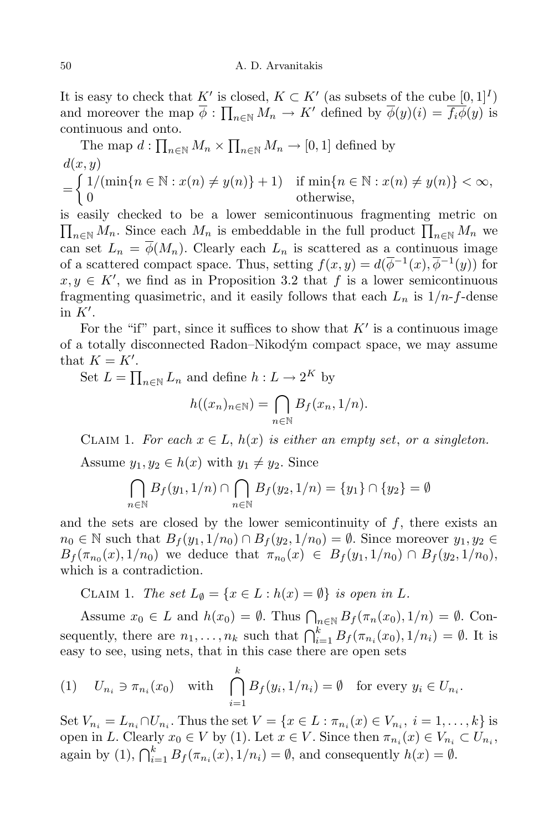It is easy to check that  $K'$  is closed,  $K \subset K'$  (as subsets of the cube  $[0,1]^I$ ) and moreover the map  $\overline{\phi}$  :  $\prod_{n \in \mathbb{N}} M_n \to K'$  defined by  $\overline{\phi}(y)(i) = \overline{f_i \phi}(y)$  is continuous and onto.

The map 
$$
d: \prod_{n \in \mathbb{N}} M_n \times \prod_{n \in \mathbb{N}} M_n \to [0, 1]
$$
 defined by  
\n
$$
\begin{aligned}\nd(x, y) \\
= \begin{cases}\n1/(\min\{n \in \mathbb{N} : x(n) \neq y(n)\} + 1) & \text{if } \min\{n \in \mathbb{N} : x(n) \neq y(n)\} < \infty, \\
0 & \text{otherwise,} \end{cases}\n\end{aligned}
$$

is easily checked to be a lower semicontinuous fragmenting metric on  $\prod_{n\in\mathbb{N}}M_n$ . Since each  $M_n$  is embeddable in the full product  $\prod_{n\in\mathbb{N}}M_n$  we can set  $L_n = \overline{\phi}(M_n)$ . Clearly each  $L_n$  is scattered as a continuous image of a scattered compact space. Thus, setting  $f(x, y) = d(\overline{\phi}^{-1}(x), \overline{\phi}^{-1}(y))$  for  $x, y \in K'$ , we find as in Proposition 3.2 that *f* is a lower semicontinuous fragmenting quasimetric, and it easily follows that each  $L_n$  is  $1/n$ -*f*-dense in  $K'$ .

For the "if" part, since it suffices to show that  $K<sup>'</sup>$  is a continuous image of a totally disconnected Radon–Nikodym´ compact space, we may assume that  $K = K'$ .

Set  $L = \prod_{n \in \mathbb{N}} L_n$  and define  $h: L \to 2^K$  by

$$
h((x_n)_{n\in\mathbb{N}})=\bigcap_{n\in\mathbb{N}}B_f(x_n,1/n).
$$

CLAIM 1. For each  $x \in L$ ,  $h(x)$  is either an empty set, or a singleton.

Assume  $y_1, y_2 \in h(x)$  with  $y_1 \neq y_2$ . Since

$$
\bigcap_{n \in \mathbb{N}} B_f(y_1, 1/n) \cap \bigcap_{n \in \mathbb{N}} B_f(y_2, 1/n) = \{y_1\} \cap \{y_2\} = \emptyset
$$

and the sets are closed by the lower semicontinuity of  $f$ , there exists an *n*<sub>0</sub> ∈ N such that  $B_f(y_1, 1/n_0) \cap B_f(y_2, 1/n_0) = \emptyset$ . Since moreover  $y_1, y_2 \in$  $B_f(\pi_{n_0}(x), 1/n_0)$  we deduce that  $\pi_{n_0}(x) \in B_f(y_1, 1/n_0) \cap B_f(y_2, 1/n_0)$ , which is a contradiction.

CLAIM 1. *The set*  $L_{\emptyset} = \{x \in L : h(x) = \emptyset\}$  *is open in L*.

Assume  $x_0 \in L$  and  $h(x_0) = \emptyset$ . Thus  $\bigcap_{n \in \mathbb{N}} B_f(\pi_n(x_0), 1/n) = \emptyset$ . Consequently, there are  $n_1, \ldots, n_k$  such that  $\bigcap_{i=1}^k B_f(\pi_{n_i}(x_0), 1/n_i) = \emptyset$ . It is easy to see, using nets, that in this case there are open sets

(1) 
$$
U_{n_i} \ni \pi_{n_i}(x_0)
$$
 with  $\bigcap_{i=1}^k B_f(y_i, 1/n_i) = \emptyset$  for every  $y_i \in U_{n_i}$ .

Set  $V_{n_i} = L_{n_i} \cap U_{n_i}$ . Thus the set  $V = \{x \in L : \pi_{n_i}(x) \in V_{n_i}, i = 1, ..., k\}$  is open in *L*. Clearly  $x_0 \in V$  by (1). Let  $x \in V$ . Since then  $\pi_{n_i}(x) \in V_{n_i} \subset U_{n_i}$ , again by (1),  $\bigcap_{i=1}^{k} B_f(\pi_{n_i}(x), 1/n_i) = \emptyset$ , and consequently  $h(x) = \emptyset$ .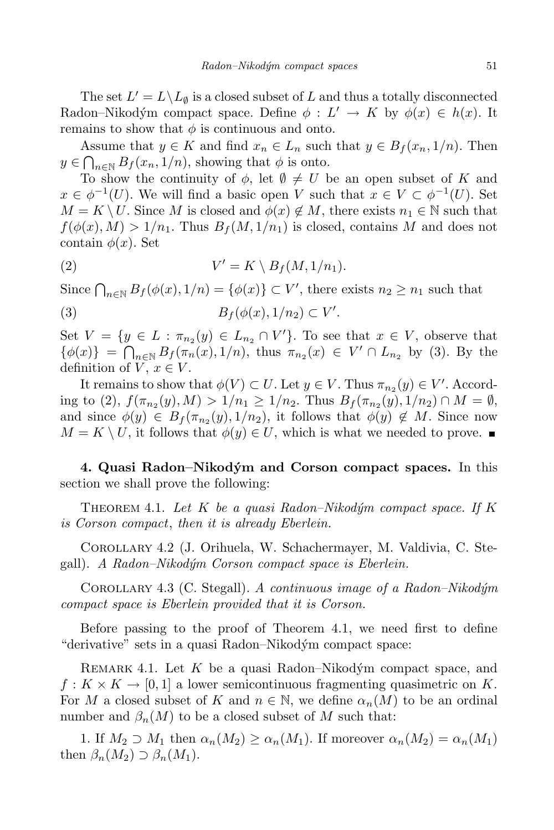The set  $L' = L \setminus L_{\emptyset}$  is a closed subset of *L* and thus a totally disconnected Radon–Nikodým compact space. Define  $\phi : L' \to K$  by  $\phi(x) \in h(x)$ . It remains to show that  $\phi$  is continuous and onto.

Assume that  $y \in K$  and find  $x_n \in L_n$  such that  $y \in B_f(x_n, 1/n)$ . Then  $y \in \bigcap_{n \in \mathbb{N}} B_f(x_n, 1/n)$ , showing that  $\phi$  is onto.

To show the continuity of  $\phi$ , let  $\emptyset \neq U$  be an open subset of *K* and  $x \in \phi^{-1}(U)$ . We will find a basic open *V* such that  $x \in V \subset \phi^{-1}(U)$ . Set  $M = K \setminus U$ . Since *M* is closed and  $\phi(x) \notin M$ , there exists  $n_1 \in \mathbb{N}$  such that  $f(\phi(x), M) > 1/n_1$ . Thus  $B_f(M, 1/n_1)$  is closed, contains *M* and does not contain  $\phi(x)$ . Set

(2) 
$$
V' = K \setminus B_f(M, 1/n_1).
$$

Since  $\bigcap_{n\in\mathbb{N}} B_f(\phi(x), 1/n) = \{\phi(x)\}\subset V'$ , there exists  $n_2 \geq n_1$  such that (3)  $B_f(\phi(x), 1/n_2) \subset V'.$ 

Set  $V = \{y \in L : \pi_{n_2}(y) \in L_{n_2} \cap V'\}$ . To see that  $x \in V$ , observe that  $\{\phi(x)\} = \bigcap_{n \in \mathbb{N}} B_f(\pi_n(x), 1/n),$  thus  $\pi_{n_2}(x) \in V' \cap L_{n_2}$  by (3). By the definition of  $V, x \in V$ .

It remains to show that  $\phi(V) \subset U$ . Let  $y \in V$ . Thus  $\pi_{n_2}(y) \in V'$ . According to (2),  $f(\pi_{n_2}(y), M) > 1/n_1 \ge 1/n_2$ . Thus  $B_f(\pi_{n_2}(y), 1/n_2) \cap M = \emptyset$ , and since  $\phi(y) \in B_f(\pi_{n_2}(y), 1/n_2)$ , it follows that  $\phi(y) \notin M$ . Since now  $M = K \setminus U$ , it follows that  $\phi(y) \in U$ , which is what we needed to prove.

**4. Quasi Radon–Nikodym´ and Corson compact spaces.** In this section we shall prove the following:

Theorem 4.1. *Let K be a quasi Radon–Nikod´ym compact space. If K is Corson compact*, *then it is already Eberlein.*

Corollary 4.2 (J. Orihuela, W. Schachermayer, M. Valdivia, C. Stegall). *A Radon–Nikod´ym Corson compact space is Eberlein.*

Corollary 4.3 (C. Stegall). *A continuous image of a Radon–Nikod´ym compact space is Eberlein provided that it is Corson.*

Before passing to the proof of Theorem 4.1, we need first to define "derivative" sets in a quasi Radon–Nikodym´ compact space:

REMARK 4.1. Let K be a quasi Radon–Nikodým compact space, and  $f: K \times K \to [0, 1]$  a lower semicontinuous fragmenting quasimetric on K. For *M* a closed subset of *K* and  $n \in \mathbb{N}$ , we define  $\alpha_n(M)$  to be an ordinal number and  $\beta_n(M)$  to be a closed subset of M such that:

1. If  $M_2 \supset M_1$  then  $\alpha_n(M_2) \ge \alpha_n(M_1)$ . If moreover  $\alpha_n(M_2) = \alpha_n(M_1)$ then  $\beta_n(M_2) \supset \beta_n(M_1)$ .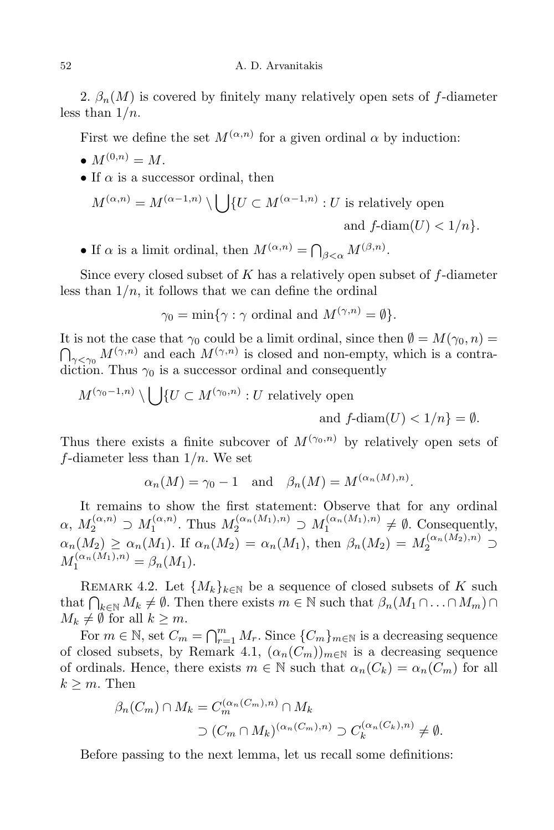2.  $\beta_n(M)$  is covered by finitely many relatively open sets of *f*-diameter less than 1*/n*.

First we define the set  $M^{(\alpha,n)}$  for a given ordinal  $\alpha$  by induction:

- $M^{(0,n)} = M$ .
- *•* If *α* is a successor ordinal, then

$$
M^{(\alpha,n)} = M^{(\alpha-1,n)} \setminus \bigcup \{ U \subset M^{(\alpha-1,n)} : U \text{ is relatively open} \text{ and } f\text{-diam}(U) < 1/n \}.
$$

• If  $\alpha$  is a limit ordinal, then  $M^{(\alpha,n)} = \bigcap_{\beta < \alpha} M^{(\beta,n)}$ .

Since every closed subset of *K* has a relatively open subset of *f*-diameter less than  $1/n$ , it follows that we can define the ordinal

$$
\gamma_0 = \min\{\gamma : \gamma \text{ ordinal and } M^{(\gamma, n)} = \emptyset\}.
$$

It is not the case that  $\gamma_0$  could be a limit ordinal, since then  $\emptyset = M(\gamma_0, n) =$ <br> $\bigcap_{\gamma < \gamma_0} M^{(\gamma, n)}$  and each  $M^{(\gamma, n)}$  is closed and non-empty, which is a contradiction. Thus  $\gamma_0$  is a successor ordinal and consequently

$$
M^{(\gamma_0-1,n)} \setminus \bigcup \{ U \subset M^{(\gamma_0,n)} : U \text{ relatively open} \text{ and } f\text{-diam}(U) < 1/n \} = \emptyset.
$$

Thus there exists a finite subcover of  $M^{(\gamma_0,n)}$  by relatively open sets of *f*-diameter less than 1*/n*. We set

$$
\alpha_n(M) = \gamma_0 - 1
$$
 and  $\beta_n(M) = M^{(\alpha_n(M),n)}$ .

It remains to show the first statement: Observe that for any ordinal  $\alpha$ ,  $M_2^{(\alpha,n)} \supset M_1^{(\alpha,n)}$  $M_1^{(\alpha,n)}$ . Thus  $M_2^{(\alpha_n(M_1),n)} \supset M_1^{(\alpha_n(M_1),n)} \neq \emptyset$ . Consequently,  $\alpha_n(M_2) \geq \alpha_n(M_1)$ . If  $\alpha_n(M_2) = \alpha_n(M_1)$ , then  $\beta_n(M_2) = M_2^{(\alpha_n(M_2), n)} \supset$  $M_1^{(\alpha_n(M_1),n)} = \beta_n(M_1).$ 

REMARK 4.2. Let  ${M_k}_{k\in\mathbb{N}}$  be a sequence of closed subsets of *K* such that  $\bigcap_{k \in \mathbb{N}} M_k \neq \emptyset$ . Then there exists  $m \in \mathbb{N}$  such that  $\beta_n(M_1 \cap \ldots \cap M_m) \cap$  $M_k \neq \emptyset$  for all  $k \geq m$ .

For  $m \in \mathbb{N}$ , set  $C_m = \bigcap_{r=1}^m M_r$ . Since  $\{C_m\}_{m \in \mathbb{N}}$  is a decreasing sequence of closed subsets, by Remark 4.1,  $(\alpha_n(C_m))_{m\in\mathbb{N}}$  is a decreasing sequence of ordinals. Hence, there exists  $m \in \mathbb{N}$  such that  $\alpha_n(C_k) = \alpha_n(C_m)$  for all  $k \geq m$ . Then

$$
\beta_n(C_m) \cap M_k = C_m^{(\alpha_n(C_m), n)} \cap M_k
$$
  

$$
\supset (C_m \cap M_k)^{(\alpha_n(C_m), n)} \supset C_k^{(\alpha_n(C_k), n)} \neq \emptyset.
$$

Before passing to the next lemma, let us recall some definitions: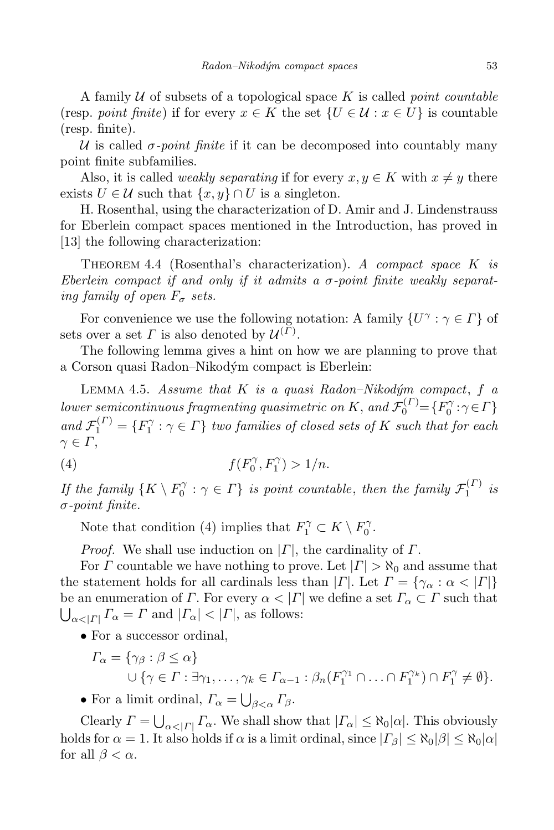A family *U* of subsets of a topological space *K* is called *point countable*  $(\text{resp. } point \text{ finite})$  if for every  $x \in K$  the set  $\{U \in \mathcal{U} : x \in U\}$  is countable (resp. finite).

 $U$  is called  $\sigma$ -*point* finite if it can be decomposed into countably many point finite subfamilies.

Also, it is called *weakly separating* if for every  $x, y \in K$  with  $x \neq y$  there exists  $U \in \mathcal{U}$  such that  $\{x, y\} \cap U$  is a singleton.

H. Rosenthal, using the characterization of D. Amir and J. Lindenstrauss for Eberlein compact spaces mentioned in the Introduction, has proved in [13] the following characterization:

Theorem 4.4 (Rosenthal's characterization). *A compact space K is Eberlein compact if and only if it admits a σ-point finite weakly separating family of open*  $F_{\sigma}$  *sets.* 

For convenience we use the following notation: A family  $\{U^{\gamma} : \gamma \in \Gamma\}$  of sets over a set *Γ* is also denoted by  $\mathcal{U}^{(\Gamma)}$ .

The following lemma gives a hint on how we are planning to prove that a Corson quasi Radon–Nikodym´ compact is Eberlein:

Lemma 4.5. *Assume that K is a quasi Radon–Nikod´ym compact*, *f a lower semicontinuous fragmenting quasimetric on K*, and  $\mathcal{F}_0^{(\Gamma)} = \{F_0^{\gamma} : \gamma \in \Gamma\}$ and  $\mathcal{F}_1^{(\Gamma)} = \{F_1^{\gamma} : \gamma \in \Gamma\}$  two families of closed sets of K such that for each *γ ∈ Γ*,

(4) 
$$
f(F_0^{\gamma}, F_1^{\gamma}) > 1/n
$$
.

*If* the family  $\{K \setminus F_0^{\gamma} : \gamma \in \Gamma\}$  *is point countable, then the family*  $\mathcal{F}_1^{(\Gamma)}$  $\frac{1}{1}$  *is σ-point finite.*

Note that condition (4) implies that  $F_1^{\gamma} \subset K \setminus F_0^{\gamma}$ .

*Proof.* We shall use induction on *|Γ|*, the cardinality of *Γ*.

For *Γ* countable we have nothing to prove. Let  $| \Gamma | > \aleph_0$  and assume that the statement holds for all cardinals less than  $| \Gamma |$ . Let  $\Gamma = \{ \gamma_\alpha : \alpha < |\Gamma| \}$ be an enumeration of *Γ*. For every  $\alpha < |\Gamma|$  we define a set  $\Gamma_{\alpha} \subset \Gamma$  such that  $\bigcup_{\alpha < |I|} \Gamma_{\alpha} = \Gamma$  and  $|\Gamma_{\alpha}| < |I|$ , as follows:

• For a successor ordinal,

$$
\Gamma_{\alpha} = \{ \gamma_{\beta} : \beta \leq \alpha \}
$$
  

$$
\cup \{ \gamma \in \Gamma : \exists \gamma_1, \dots, \gamma_k \in \Gamma_{\alpha-1} : \beta_n(F_1^{\gamma_1} \cap \dots \cap F_1^{\gamma_k}) \cap F_1^{\gamma} \neq \emptyset \}.
$$

• For a limit ordinal,  $\Gamma_{\alpha} = \bigcup_{\beta < \alpha} \Gamma_{\beta}$ .

Clearly  $\Gamma = \bigcup_{\alpha < |I|} \Gamma_{\alpha}$ . We shall show that  $|\Gamma_{\alpha}| \leq \aleph_0 |\alpha|$ . This obviously holds for  $\alpha = 1$ . It also holds if  $\alpha$  is a limit ordinal, since  $| \Gamma_{\beta} | \leq \aleph_0 |\beta| \leq \aleph_0 |\alpha|$ for all  $\beta < \alpha$ .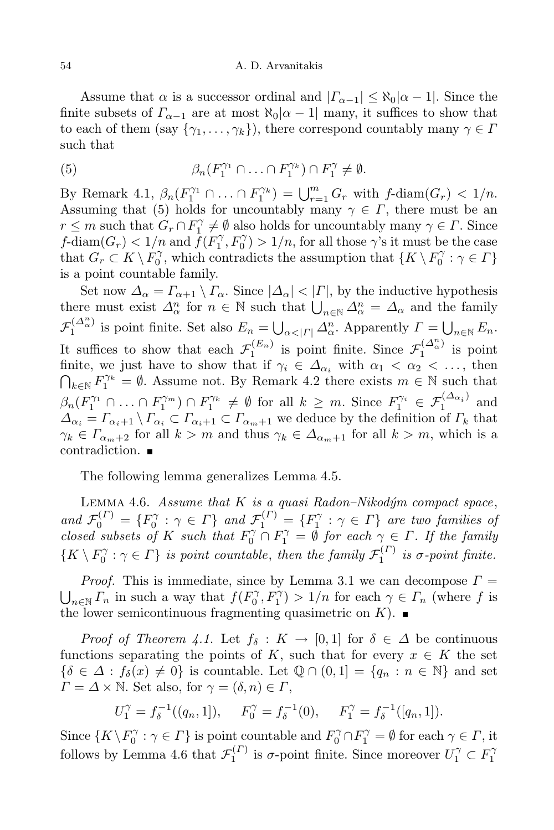Assume that  $\alpha$  is a successor ordinal and  $|\Gamma_{\alpha-1}| \leq \aleph_0 |\alpha-1|$ . Since the finite subsets of  $\Gamma_{\alpha-1}$  are at most  $\aleph_0|\alpha-1|$  many, it suffices to show that to each of them (say  $\{\gamma_1, \ldots, \gamma_k\}$ ), there correspond countably many  $\gamma \in \Gamma$ such that

(5) 
$$
\beta_n(F_1^{\gamma_1} \cap \ldots \cap F_1^{\gamma_k}) \cap F_1^{\gamma} \neq \emptyset.
$$

By Remark 4.1,  $\beta_n(F_1^{\gamma_1} \cap ... \cap F_1^{\gamma_k}) = \bigcup_{r=1}^m G_r$  with f-diam $(G_r) < 1/n$ . Assuming that (5) holds for uncountably many  $\gamma \in \Gamma$ , there must be an  $r \leq m$  such that  $G_r \cap F_1^{\gamma} \neq \emptyset$  also holds for uncountably many  $\gamma \in \Gamma$ . Since *f*-diam $(G_r)$   $< 1/n$  and  $\tilde{f}(F_1^{\gamma}, F_0^{\gamma}) > 1/n$ , for all those  $\gamma$ 's it must be the case that  $G_r \subset K \setminus F_0^{\gamma}$ , which contradicts the assumption that  $\{K \setminus F_0^{\gamma} : \gamma \in \Gamma\}$ is a point countable family.

Set now  $\Delta_{\alpha} = \Gamma_{\alpha+1} \setminus \Gamma_{\alpha}$ . Since  $|\Delta_{\alpha}| < |\Gamma|$ , by the inductive hypothesis there must exist  $\Delta^n_\alpha$  for  $n \in \mathbb{N}$  such that  $\bigcup_{n \in \mathbb{N}} \Delta^n_\alpha = \Delta_\alpha$  and the family *F*  $\bigcup_{\alpha \leq |I|} \Delta^n$  is point finite. Set also  $E_n = \bigcup_{\alpha \leq |I|} \Delta^n_\alpha$ . Apparently  $\Gamma = \bigcup_{n \in \mathbb{N}} E_n$ . It suffices to show that each  $\mathcal{F}_1^{(E_n)}$  is point finite. Since  $\mathcal{F}_1^{(\Delta^n_{\alpha})}$  is point finite, we just have to show that if  $\gamma_i \in \Delta_{\alpha_i}$  with  $\alpha_1 < \alpha_2 < \dots$ , then  $\bigcap_{k \in \mathbb{N}} F_1^{\gamma_k} = \emptyset$ . Assume not. By Remark 4.2 there exists  $m \in \mathbb{N}$  such that  $\beta_n(F_1^{\gamma_1} \cap \ldots \cap F_1^{\gamma_m}) \cap F_1^{\gamma_k} \neq \emptyset$  for all  $k \geq m$ . Since  $F_1^{\gamma_i} \in \mathcal{F}_1^{(\Delta_{\alpha_i})}$  $\int_1^{\infty}$  and  $\Delta_{\alpha_i} = \Gamma_{\alpha_i+1} \setminus \Gamma_{\alpha_i} \subset \Gamma_{\alpha_i+1} \subset \Gamma_{\alpha_m+1}$  we deduce by the definition of  $\Gamma_k$  that  $\gamma_k \in \Gamma_{\alpha_m+2}$  for all  $k > m$  and thus  $\gamma_k \in \Delta_{\alpha_m+1}$  for all  $k > m$ , which is a contradiction.

The following lemma generalizes Lemma 4.5.

Lemma 4.6. *Assume that K is a quasi Radon–Nikod´ym compact space*, and  $\mathcal{F}_0^{(\Gamma)} = \{F_0^{\gamma} : \gamma \in \Gamma\}$  and  $\mathcal{F}_1^{(\Gamma)} = \{F_1^{\gamma} : \gamma \in \Gamma\}$  are two families of *closed subsets of K such that*  $F_0^{\gamma} \cap F_1^{\gamma} = \emptyset$  *for each*  $\gamma \in \Gamma$ *. If the family*  $\{K \setminus F_0^{\gamma} : \gamma \in \Gamma\}$  *is point countable, then the family*  $\mathcal{F}_1^{(\Gamma)}$  $\int_1^{(1)}$  *is*  $\sigma$ -point finite.

*Proof.* This is immediate, since by Lemma 3.1 we can decompose  $\Gamma = \bigcup_{n \in \mathbb{N}} \Gamma_n$  in such a way that  $f(F_0^{\gamma}, F_1^{\gamma}) > 1/n$  for each  $\gamma \in \Gamma_n$  (where f is the lower semicontinuous fragmenting quasimetric on  $K$ ).

*Proof of Theorem 4.1.* Let  $f_{\delta}: K \to [0,1]$  for  $\delta \in \Delta$  be continuous functions separating the points of *K*, such that for every  $x \in K$  the set  $\{\delta \in \Delta : f_{\delta}(x) \neq 0\}$  is countable. Let  $\mathbb{Q} \cap (0,1] = \{q_n : n \in \mathbb{N}\}\$ and set  $\Gamma = \Delta \times \mathbb{N}$ . Set also, for  $\gamma = (\delta, n) \in \Gamma$ ,

$$
U_1^{\gamma} = f_{\delta}^{-1}((q_n, 1]), \quad F_0^{\gamma} = f_{\delta}^{-1}(0), \quad F_1^{\gamma} = f_{\delta}^{-1}([q_n, 1]).
$$

Since  $\{K \setminus F_0^\gamma : \gamma \in \Gamma\}$  is point countable and  $F_0^\gamma \cap F_1^\gamma = \emptyset$  for each  $\gamma \in \Gamma$ , it follows by Lemma 4.6 that  $\mathcal{F}_1^{(\Gamma)}$  $U_1^{(r)}$  is  $\sigma$ -point finite. Since moreover  $U_1^{\gamma} \subset F_1^{\gamma}$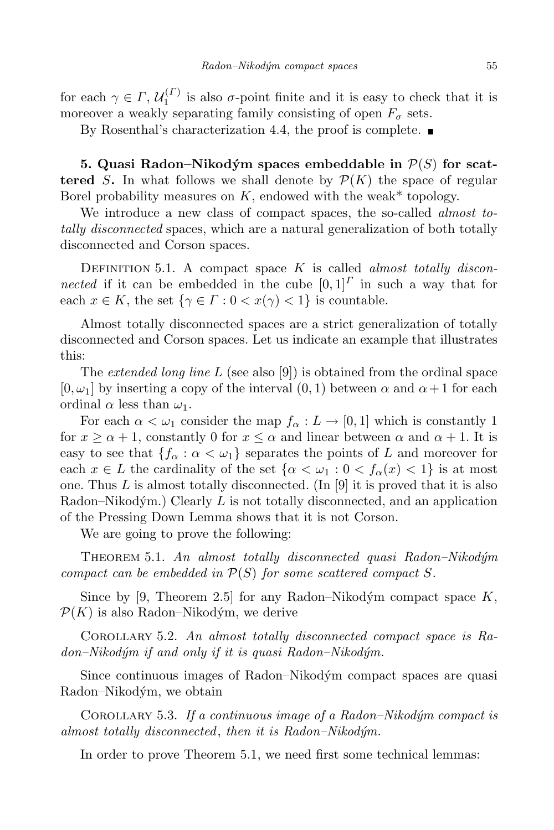for each  $\gamma \in \Gamma$ ,  $\mathcal{U}_1^{(\Gamma)}$  $i_1^{(1)}$  is also  $\sigma$ -point finite and it is easy to check that it is moreover a weakly separating family consisting of open  $F_{\sigma}$  sets.

By Rosenthal's characterization 4.4, the proof is complete.  $\blacksquare$ 

**5.** Quasi Radon–Nikodým spaces embeddable in  $P(S)$  for scat**tered** *S***.** In what follows we shall denote by  $P(K)$  the space of regular Borel probability measures on  $K$ , endowed with the weak\* topology.

We introduce a new class of compact spaces, the so-called *almost totally disconnected* spaces, which are a natural generalization of both totally disconnected and Corson spaces.

DEFINITION 5.1. A compact space *K* is called *almost totally disconnected* if it can be embedded in the cube  $[0,1]^T$  in such a way that for each  $x \in K$ , the set  $\{\gamma \in \Gamma : 0 < x(\gamma) < 1\}$  is countable.

Almost totally disconnected spaces are a strict generalization of totally disconnected and Corson spaces. Let us indicate an example that illustrates this:

The *extended long line L* (see also [9]) is obtained from the ordinal space  $[0, \omega_1]$  by inserting a copy of the interval  $(0, 1)$  between  $\alpha$  and  $\alpha + 1$  for each ordinal  $\alpha$  less than  $\omega_1$ .

For each  $\alpha < \omega_1$  consider the map  $f_\alpha : L \to [0,1]$  which is constantly 1 for  $x \ge \alpha + 1$ , constantly 0 for  $x \le \alpha$  and linear between  $\alpha$  and  $\alpha + 1$ . It is easy to see that  ${f_\alpha : \alpha < \omega_1}$  separates the points of *L* and moreover for each  $x \in L$  the cardinality of the set  $\{\alpha < \omega_1 : 0 < f_\alpha(x) < 1\}$  is at most one. Thus  $L$  is almost totally disconnected. (In  $[9]$  it is proved that it is also Radon–Nikodým.) Clearly  $L$  is not totally disconnected, and an application of the Pressing Down Lemma shows that it is not Corson.

We are going to prove the following:

Theorem 5.1. *An almost totally disconnected quasi Radon–Nikod´ym compact can be embedded in*  $P(S)$  *for some scattered compact S.* 

Since by [9, Theorem 2.5] for any Radon–Nikodým compact space  $K$ ,  $P(K)$  is also Radon–Nikodým, we derive

Corollary 5.2. *An almost totally disconnected compact space is Radon–Nikod´ym if and only if it is quasi Radon–Nikod´ym.*

Since continuous images of Radon–Nikodým compact spaces are quasi Radon–Nikodým, we obtain

Corollary 5.3. *If a continuous image of a Radon–Nikod´ym compact is almost totally disconnected*, *then it is Radon–Nikod´ym.*

In order to prove Theorem 5.1, we need first some technical lemmas: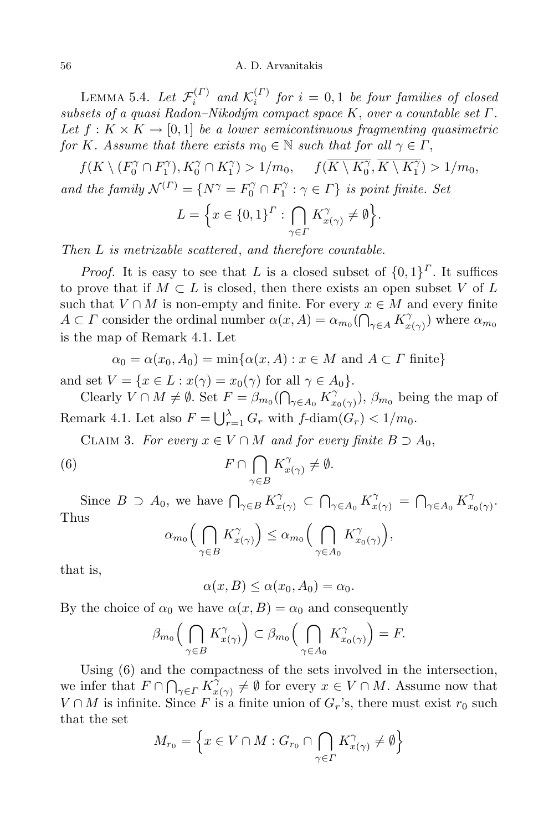#### 56 A. D. Arvanitakis

LEMMA 5.4. *Let*  $\mathcal{F}_i^{(\Gamma)}$  $\mathcal{K}_i^{(\Gamma)}$  and  $\mathcal{K}_i^{(\Gamma)}$  $i_i^{(1)}$  *for*  $i = 0, 1$  *be four families of closed subsets of a quasi Radon–Nikod´ym compact space K*, *over a countable set Γ.* Let  $f: K \times K \to [0,1]$  be a *lower* semicontinuous fragmenting quasimetric *for K. Assume that there exists*  $m_0 \in \mathbb{N}$  *such that for all*  $\gamma \in \Gamma$ ,

 $f(K \setminus (F_0^{\gamma} \cap F_1^{\gamma}), K_0^{\gamma} \cap K_1^{\gamma}) > 1/m_0, \quad f(\overline{K \setminus K_0^{\gamma}}, \overline{K \setminus K_1^{\gamma}}) > 1/m_0,$ *and the family*  $\mathcal{N}^{(\Gamma)} = \{ N^{\gamma} = F_0^{\gamma} \cap F_1^{\gamma} : \gamma \in \Gamma \}$  *is point finite. Set* 

$$
L = \Big\{ x \in \{0,1\}^{\Gamma} : \bigcap_{\gamma \in \Gamma} K_{x(\gamma)}^{\gamma} \neq \emptyset \Big\}.
$$

*Then L is metrizable scattered*, *and therefore countable.*

*Proof.* It is easy to see that *L* is a closed subset of  $\{0,1\}^{\Gamma}$ . It suffices to prove that if  $M \subset L$  is closed, then there exists an open subset *V* of L such that  $V \cap M$  is non-empty and finite. For every  $x \in M$  and every finite *A*  $\subset$  *Γ* consider the ordinal number  $\alpha(x, A) = \alpha_{m_0} (\bigcap_{\gamma \in A} K_\chi^\gamma)$  $\binom{\gamma}{x(\gamma)}$  where  $\alpha_{m_0}$ is the map of Remark 4.1. Let

$$
\alpha_0 = \alpha(x_0, A_0) = \min\{\alpha(x, A) : x \in M \text{ and } A \subset \Gamma \text{ finite}\}
$$

and set  $V = \{x \in L : x(\gamma) = x_0(\gamma) \text{ for all } \gamma \in A_0\}.$ 

Clearly  $V \cap M \neq \emptyset$ . Set  $F = \beta_{m_0}(\bigcap_{\gamma \in A_0} K_\chi^\gamma)$  $(\gamma_{x_0(\gamma)}), \ \beta_{m_0}$  being the map of Remark 4.1. Let also  $F = \bigcup_{r=1}^{\lambda} G_r$  with  $f$ -diam $(G_r) < 1/m_0$ .

CLAIM 3. For every  $x \in V \cap M$  and for every finite  $B \supset A_0$ ,

(6) 
$$
F \cap \bigcap_{\gamma \in B} K_{x(\gamma)}^{\gamma} \neq \emptyset.
$$

Since  $B \supset A_0$ , we have  $\bigcap_{\gamma \in B} K_{x(\gamma)}^{\gamma} \subset \bigcap_{\gamma \in A_0} K_{x(\gamma)}^{\gamma} = \bigcap_{\gamma \in A_0} K_{x}^{\gamma}$ *x*0(*γ*) . Thus  $\cap$ *γ*  $\setminus$  $\cap$ *γ*  $\setminus$ 

$$
\alpha_{m_0}\Big(\bigcap_{\gamma\in B}K_{x(\gamma)}^{\gamma}\Big)\leq \alpha_{m_0}\Big(\bigcap_{\gamma\in A_0}K_{x_0(\gamma)}^{\gamma}\Big),
$$

that is,

 $\alpha(x, B) \leq \alpha(x_0, A_0) = \alpha_0$ .

By the choice of  $\alpha_0$  we have  $\alpha(x, B) = \alpha_0$  and consequently

$$
\beta_{m_0}\Big(\bigcap_{\gamma\in B}K_{x(\gamma)}^{\gamma}\Big)\subset \beta_{m_0}\Big(\bigcap_{\gamma\in A_0}K_{x_0(\gamma)}^{\gamma}\Big)=F.
$$

Using (6) and the compactness of the sets involved in the intersection, we infer that  $F \cap \bigcap_{\gamma \in \Gamma} K_x^{\gamma}$  $\chi^{\gamma}_{x(\gamma)} \neq \emptyset$  for every  $x \in V \cap M$ . Assume now that *V* ∩ *M* is infinite. Since *F* is a finite union of  $G_r$ 's, there must exist  $r_0$  such that the set

$$
M_{r_0} = \left\{ x \in V \cap M : G_{r_0} \cap \bigcap_{\gamma \in \Gamma} K_{x(\gamma)}^{\gamma} \neq \emptyset \right\}
$$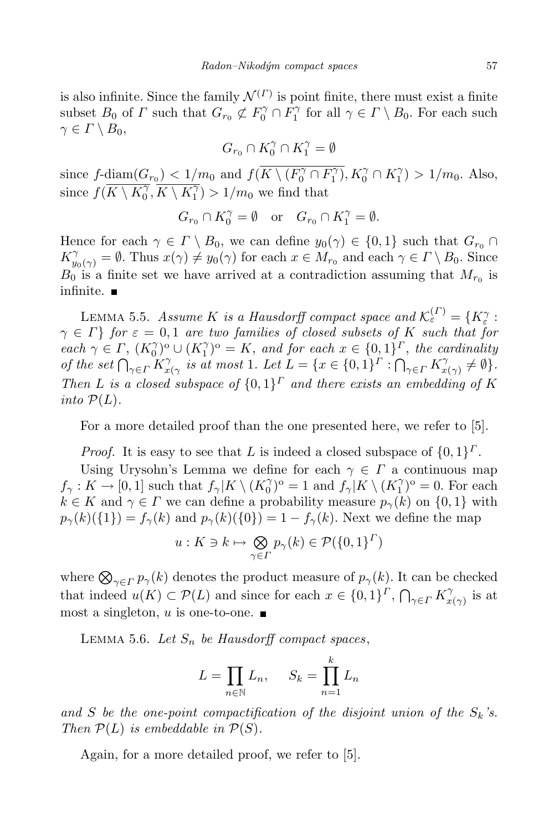is also infinite. Since the family  $\mathcal{N}^{(\Gamma)}$  is point finite, there must exist a finite subset  $B_0$  of  $\Gamma$  such that  $G_{r_0} \not\subset F_0^{\gamma} \cap F_1^{\gamma}$  for all  $\gamma \in \Gamma \setminus B_0$ . For each such  $\gamma \in \Gamma \setminus B_0$ ,

$$
G_{r_0}\cap K_0^\gamma\cap K_1^\gamma=\emptyset
$$

since  $f$ - $\underline{\text{diam}(G_{r_0})} < 1/m_0$  and  $f(K \setminus (F_0^{\gamma} \cap F_1^{\gamma}), K_0^{\gamma} \cap K_1^{\gamma}) > 1/m_0$ . Also, since  $f(\overline{K \setminus K_0^{\gamma}}, \overline{K \setminus K_1^{\gamma}}) > 1/m_0$  we find that

$$
G_{r_0} \cap K_0^{\gamma} = \emptyset \quad \text{or} \quad G_{r_0} \cap K_1^{\gamma} = \emptyset.
$$

Hence for each  $\gamma \in \Gamma \setminus B_0$ , we can define  $y_0(\gamma) \in \{0,1\}$  such that  $G_{r_0} \cap$  $K_{y_0(\gamma)}^{\gamma} = \emptyset$ . Thus  $x(\gamma) \neq y_0(\gamma)$  for each  $x \in M_{r_0}$  and each  $\gamma \in \Gamma \setminus B_0$ . Since  $B_0$  is a finite set we have arrived at a contradiction assuming that  $M_{r_0}$  is infinite.  $\blacksquare$ 

LEMMA 5.5. *Assume K is a Hausdorff compact space and*  $\mathcal{K}_{\varepsilon}^{(\Gamma)} = \{K_{\varepsilon}^{\gamma} : \mathcal{K}_{\varepsilon}^{(\Gamma)}\}$  $\gamma \in \Gamma$ *for*  $\varepsilon = 0, 1$  *are two families of closed subsets of K such that for* each  $\gamma \in \Gamma$ ,  $(K_0^{\gamma})^{\circ} \cup (K_1^{\gamma})^{\circ} = K$ , and for each  $x \in \{0,1\}^{\Gamma}$ , the cardinality *of the set*  $\bigcap_{\gamma \in \Gamma} K_x^{\gamma}$ *x*<sub>*x*</sub> *(γ is at most* 1*. Let*  $L = \{x \in \{0,1\}^{\Gamma} : \bigcap_{\gamma \in \Gamma} K_x^{\gamma}$  $\int_{x(\gamma)}^{\gamma} \neq \emptyset$ . *Then L is a closed subspace of*  $\{0,1\}^{\Gamma}$  *and there exists an embedding of K into*  $P(L)$ *.* 

For a more detailed proof than the one presented here, we refer to [5].

*Proof.* It is easy to see that *L* is indeed a closed subspace of  $\{0, 1\}^{\Gamma}$ .

Using Urysohn's Lemma we define for each  $\gamma \in \Gamma$  a continuous map  $f_{\gamma}: K \to [0, 1]$  such that  $f_{\gamma}|K \setminus (K_0^{\gamma})^{\circ} = 1$  and  $f_{\gamma}|K \setminus (K_1^{\gamma})^{\circ} = 0$ . For each  $k \in K$  and  $\gamma \in \Gamma$  we can define a probability measure  $p_{\gamma}(k)$  on  $\{0,1\}$  with  $p_{\gamma}(k)(\{1\}) = f_{\gamma}(k)$  and  $p_{\gamma}(k)(\{0\}) = 1 - f_{\gamma}(k)$ . Next we define the map

$$
u: K \ni k \mapsto \bigotimes_{\gamma \in \Gamma} p_{\gamma}(k) \in \mathcal{P}(\{0,1\}^{\Gamma})
$$

where  $\bigotimes_{\gamma \in \Gamma} p_{\gamma}(k)$  denotes the product measure of  $p_{\gamma}(k)$ . It can be checked that indeed  $u(K) \subset \mathcal{P}(L)$  and since for each  $x \in \{0,1\}^{\Gamma}, \bigcap_{\gamma \in \Gamma} K_{x}^{\gamma}$  $\int_{x(\gamma)}^{\gamma}$  is at most a singleton, *u* is one-to-one.

LEMMA 5.6. Let  $S_n$  be Hausdorff compact spaces,

$$
L = \prod_{n \in \mathbb{N}} L_n, \quad S_k = \prod_{n=1}^k L_n
$$

and *S* be the one-point compactification of the disjoint union of the  $S_k$ 's. *Then*  $P(L)$  *is embeddable in*  $P(S)$ *.* 

Again, for a more detailed proof, we refer to [5].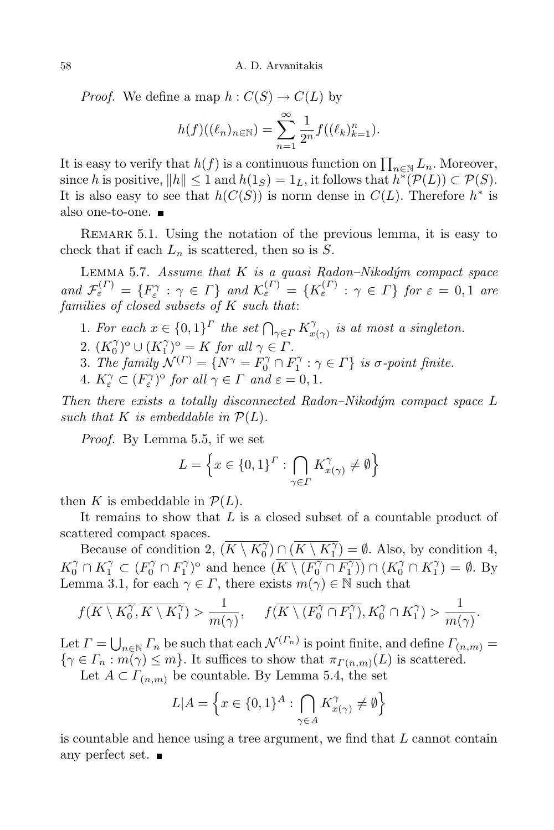*Proof.* We define a map  $h: C(S) \to C(L)$  by

$$
h(f)((\ell_n)_{n \in \mathbb{N}}) = \sum_{n=1}^{\infty} \frac{1}{2^n} f((\ell_k)_{k=1}^n).
$$

It is easy to verify that  $h(f)$  is a continuous function on  $\prod_{n\in\mathbb{N}} L_n$ . Moreover, since *h* is positive,  $||h|| \leq 1$  and  $h(1_S) = 1_L$ , it follows that  $h^*(\mathcal{P}(L)) \subset \mathcal{P}(S)$ . It is also easy to see that  $h(C(S))$  is norm dense in  $C(L)$ . Therefore  $h^*$  is also one-to-one.

REMARK 5.1. Using the notation of the previous lemma, it is easy to check that if each  $L_n$  is scattered, then so is  $S$ .

Lemma 5.7. *Assume that K is a quasi Radon–Nikod´ym compact space* and  $\mathcal{F}_{\varepsilon}^{(r)} = \{F_{\varepsilon}^{\gamma} : \gamma \in \Gamma\}$  and  $\mathcal{K}_{\varepsilon}^{(r)} = \{K_{\varepsilon}^{(r)} : \gamma \in \Gamma\}$  for  $\varepsilon = 0, 1$  are *families of closed subsets of K such that*:

- 1*. For each*  $x \in \{0,1\}^{\Gamma}$  *the set*  $\bigcap_{\gamma \in \Gamma} K_x^{\gamma}$  $\int_{x(\gamma)}^{\gamma}$  *is at most a singleton.*
- 2.  $(K_0^\gamma)^\circ \cup (K_1^\gamma)^\circ = K$  *for all*  $\gamma \in \Gamma$ .
- 3*. The family*  $\mathcal{N}^{(\Gamma)} = \{ N^{\gamma} = F_0^{\gamma} \cap F_1^{\gamma} : \gamma \in \Gamma \}$  *is*  $\sigma$ *-point finite.*
- 4*.*  $K_{\varepsilon}^{\gamma} \subset (F_{\varepsilon}^{\gamma})^{\circ}$  *for all*  $\gamma \in \Gamma$  *and*  $\varepsilon = 0, 1$ *.*

*Then there exists a totally disconnected Radon–Nikod´ym compact space L such that*  $K$  *is embeddable in*  $P(L)$ *.* 

*Proof.* By Lemma 5.5, if we set

$$
L = \left\{ x \in \{0,1\}^{\Gamma} : \bigcap_{\gamma \in \Gamma} K_{x(\gamma)}^{\gamma} \neq \emptyset \right\}
$$

then *K* is embeddable in  $\mathcal{P}(L)$ .

It remains to show that *L* is a closed subset of a countable product of scattered compact spaces.

Because of condition 2,  $(\overline{K \setminus K_0^{\gamma}}) \cap (\overline{K \setminus K_1^{\gamma}}) = \emptyset$ . Also, by condition 4,  $K_0^{\gamma} \cap K_1^{\gamma} \subset (F_0^{\gamma} \cap F_1^{\gamma})^{\circ}$  and hence  $(K \setminus (F_0^{\gamma} \cap F_1^{\gamma})) \cap (K_0^{\gamma} \cap K_1^{\gamma}) = \emptyset$ . By Lemma 3.1, for each  $\gamma \in \Gamma$ , there exists  $m(\gamma) \in \mathbb{N}$  such that

$$
f(\overline{K\setminus K_0^{\gamma}}, \overline{K\setminus K_1^{\gamma}}) > \frac{1}{m(\gamma)}, \quad f(\overline{K\setminus (F_0^{\gamma}\cap F_1^{\gamma})}, K_0^{\gamma}\cap K_1^{\gamma}) > \frac{1}{m(\gamma)}.
$$

Let  $\Gamma = \bigcup_{n \in \mathbb{N}} \Gamma_n$  be such that each  $\mathcal{N}^{(\Gamma_n)}$  is point finite, and define  $\Gamma_{(n,m)} =$  $\{\gamma \in \Gamma_n : m(\gamma) \leq m\}$ . It suffices to show that  $\pi_{\Gamma(n,m)}(L)$  is scattered.

Let  $A \subset \Gamma_{(n,m)}$  be countable. By Lemma 5.4, the set

$$
L|A = \left\{ x \in \{0,1\}^A : \bigcap_{\gamma \in A} K_{x(\gamma)}^{\gamma} \neq \emptyset \right\}
$$

is countable and hence using a tree argument, we find that *L* cannot contain any perfect set.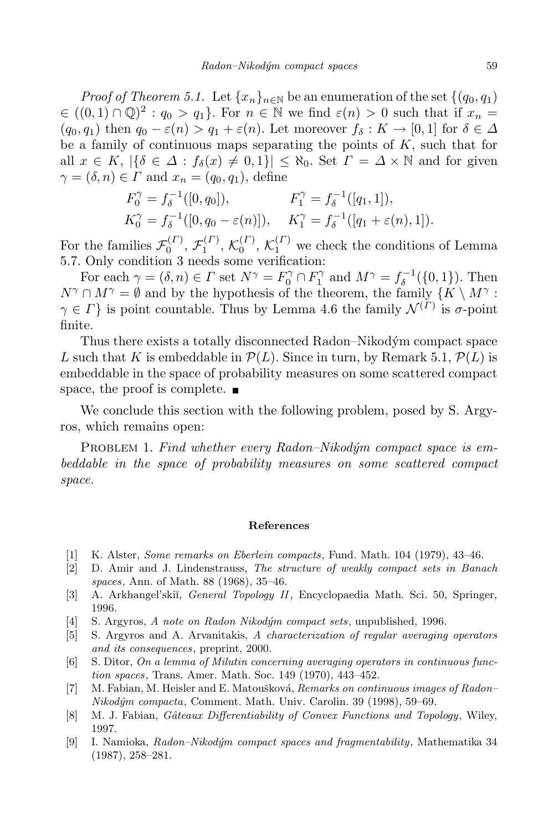*Proof of Theorem* 5.1. Let  $\{x_n\}_{n\in\mathbb{N}}$  be an enumeration of the set  $\{(q_0, q_1)\}$  $\in ((0,1) \cap \mathbb{Q})^2 : q_0 > q_1$ . For  $n \in \mathbb{N}$  we find  $\varepsilon(n) > 0$  such that if  $x_n =$  $(q_0, q_1)$  then  $q_0 - \varepsilon(n) > q_1 + \varepsilon(n)$ . Let moreover  $f_\delta: K \to [0, 1]$  for  $\delta \in \Delta$ be a family of continuous maps separating the points of *K*, such that for all  $x \in K$ ,  $|\{\delta \in \Delta : f_{\delta}(x) \neq 0, 1\}| \leq \aleph_0$ . Set  $\Gamma = \Delta \times \mathbb{N}$  and for given  $\gamma = (\delta, n) \in \Gamma$  and  $x_n = (q_0, q_1)$ , define

$$
F_0^{\gamma} = f_{\delta}^{-1}([0, q_0]), \qquad F_1^{\gamma} = f_{\delta}^{-1}([q_1, 1]),
$$
  
\n
$$
K_0^{\gamma} = f_{\delta}^{-1}([0, q_0 - \varepsilon(n)]), \qquad K_1^{\gamma} = f_{\delta}^{-1}([q_1 + \varepsilon(n), 1]).
$$

For the families  $\mathcal{F}_0^{(\Gamma)}$  $\mathcal{F}_1^{(\varGamma)},\,\mathcal{F}_1^{(\varGamma)}$  $\mathcal{K}_1^{(\Gamma)}$ ,  $\mathcal{K}_0^{(\Gamma)}$  $\binom{\binom{\Gamma}{0}}{0}$ ,  $\mathcal{K}^{(\Gamma)}_1$  we check the conditions of Lemma 5.7. Only condition 3 needs some verification:

For each  $\gamma = (\delta, n) \in \Gamma$  set  $N^{\gamma} = F_0^{\gamma} \cap F_1^{\gamma}$  and  $M^{\gamma} = f_{\delta}^{-1}(\{0, 1\})$ . Then  $N^{\gamma} \cap M^{\gamma} = \emptyset$  and by the hypothesis of the theorem, the family  $\{K \setminus M^{\gamma} :$  $\gamma \in \Gamma$ } is point countable. Thus by Lemma 4.6 the family  $\mathcal{N}^{(\Gamma)}$  is  $\sigma$ -point finite.

Thus there exists a totally disconnected Radon–Nikodym´ compact space *L* such that *K* is embeddable in  $\mathcal{P}(L)$ . Since in turn, by Remark 5.1,  $\mathcal{P}(L)$  is embeddable in the space of probability measures on some scattered compact space, the proof is complete.

We conclude this section with the following problem, posed by S. Argyros, which remains open:

PROBLEM 1. Find whether every Radon–Nikodym compact space is em*beddable in the space of probability measures on some scattered compact space.*

### **References**

- [1] K. Alster, *Some remarks on Eberlein compacts*, Fund. Math. 104 (1979), 43–46.
- [2] D. Amir and J. Lindenstrauss, *The structure of weakly compact sets in Banach spaces*, Ann. of Math. 88 (1968), 35–46.
- [3] A. Arkhangel'ski˘ı, *General Topology II*, Encyclopaedia Math. Sci. 50, Springer, 1996.
- [4] S. Argyros, *A note on Radon Nikod´ym compact sets*, unpublished, 1996.
- [5] S. Argyros and A. Arvanitakis, *A characterization of regular averaging operators and its consequences*, preprint, 2000.
- [6] S. Ditor, *On a lemma of Milutin concerning averaging operators in continuous function spaces*, Trans. Amer. Math. Soc. 149 (1970), 443–452.
- [7] M. Fabian, M. Heisler and E. Matouˇskov´a, *Remarks on continuous images of Radon– Nikod´ym compacta*, Comment. Math. Univ. Carolin. 39 (1998), 59–69.
- [8] M. J. Fabian, *Gˆateaux Differentiability of Convex Functions and Topology*, Wiley, 1997.
- [9] I. Namioka, *Radon–Nikod´ym compact spaces and fragmentability*, Mathematika 34 (1987), 258–281.